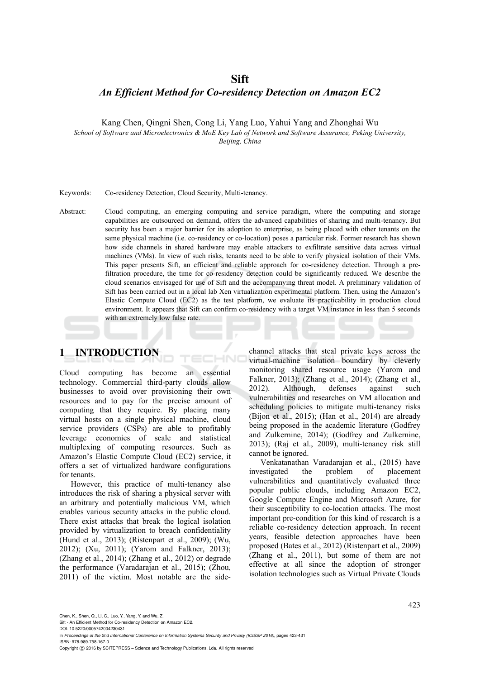## **Sift**

## *An Efficient Method for Co-residency Detection on Amazon EC2*

Kang Chen, Qingni Shen, Cong Li, Yang Luo, Yahui Yang and Zhonghai Wu

*School of Software and Microelectronics & MoE Key Lab of Network and Software Assurance, Peking University, Beijing, China* 

#### Keywords: Co-residency Detection, Cloud Security, Multi-tenancy.

Abstract: Cloud computing, an emerging computing and service paradigm, where the computing and storage capabilities are outsourced on demand, offers the advanced capabilities of sharing and multi-tenancy. But security has been a major barrier for its adoption to enterprise, as being placed with other tenants on the same physical machine (i.e. co-residency or co-location) poses a particular risk. Former research has shown how side channels in shared hardware may enable attackers to exfiltrate sensitive data across virtual machines (VMs). In view of such risks, tenants need to be able to verify physical isolation of their VMs. This paper presents Sift, an efficient and reliable approach for co-residency detection. Through a prefiltration procedure, the time for co-residency detection could be significantly reduced. We describe the cloud scenarios envisaged for use of Sift and the accompanying threat model. A preliminary validation of Sift has been carried out in a local lab Xen virtualization experimental platform. Then, using the Amazon's Elastic Compute Cloud (EC2) as the test platform, we evaluate its practicability in production cloud environment. It appears that Sift can confirm co-residency with a target VM instance in less than 5 seconds with an extremely low false rate.

HN

# **1 INTRODUCTION**

Cloud computing has become an essential technology. Commercial third-party clouds allow businesses to avoid over provisioning their own resources and to pay for the precise amount of computing that they require. By placing many virtual hosts on a single physical machine, cloud service providers (CSPs) are able to profitably leverage economies of scale and statistical multiplexing of computing resources. Such as Amazon's Elastic Compute Cloud (EC2) service, it offers a set of virtualized hardware configurations for tenants.

However, this practice of multi-tenancy also introduces the risk of sharing a physical server with an arbitrary and potentially malicious VM, which enables various security attacks in the public cloud. There exist attacks that break the logical isolation provided by virtualization to breach confidentiality (Hund et al., 2013); (Ristenpart et al., 2009); (Wu, 2012); (Xu, 2011); (Yarom and Falkner, 2013); (Zhang et al., 2014); (Zhang et al., 2012) or degrade the performance (Varadarajan et al., 2015); (Zhou, 2011) of the victim. Most notable are the side-

channel attacks that steal private keys across the virtual-machine isolation boundary by cleverly monitoring shared resource usage (Yarom and Falkner, 2013); (Zhang et al., 2014); (Zhang et al., 2012). Although, defenses against such vulnerabilities and researches on VM allocation and scheduling policies to mitigate multi-tenancy risks (Bijon et al., 2015); (Han et al., 2014) are already being proposed in the academic literature (Godfrey and Zulkernine, 2014); (Godfrey and Zulkernine, 2013); (Raj et al., 2009), multi-tenancy risk still cannot be ignored.

Venkatanathan Varadarajan et al., (2015) have investigated the problem of placement vulnerabilities and quantitatively evaluated three popular public clouds, including Amazon EC2, Google Compute Engine and Microsoft Azure, for their susceptibility to co-location attacks. The most important pre-condition for this kind of research is a reliable co-residency detection approach. In recent years, feasible detection approaches have been proposed (Bates et al., 2012) (Ristenpart et al., 2009) (Zhang et al., 2011), but some of them are not effective at all since the adoption of stronger isolation technologies such as Virtual Private Clouds

Chen, K., Shen, Q., Li, C., Luo, Y., Yang, Y. and Wu, Z.

DOI: 10.5220/0005742004230431

In *Proceedings of the 2nd International Conference on Information Systems Security and Privacy (ICISSP 2016)*, pages 423-431 ISBN: 978-989-758-167-0

Copyright (C) 2016 by SCITEPRESS - Science and Technology Publications, Lda. All rights reserved

Sift - An Efficient Method for Co-residency Detection on Amazon EC2.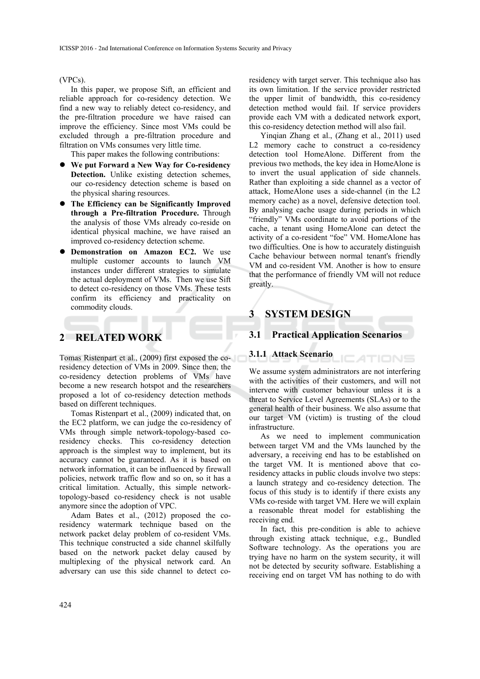#### (VPCs).

In this paper, we propose Sift, an efficient and reliable approach for co-residency detection. We find a new way to reliably detect co-residency, and the pre-filtration procedure we have raised can improve the efficiency. Since most VMs could be excluded through a pre-filtration procedure and filtration on VMs consumes very little time.

This paper makes the following contributions:

- **We put Forward a New Way for Co-residency Detection.** Unlike existing detection schemes, our co-residency detection scheme is based on the physical sharing resources.
- **The Efficiency can be Significantly Improved through a Pre-filtration Procedure.** Through the analysis of those VMs already co-reside on identical physical machine, we have raised an improved co-residency detection scheme.
- **Demonstration on Amazon EC2.** We use multiple customer accounts to launch VM instances under different strategies to simulate the actual deployment of VMs. Then we use Sift to detect co-residency on those VMs. These tests confirm its efficiency and practicality on commodity clouds.

# **2 RELATED WORK**

Tomas Ristenpart et al., (2009) first exposed the coresidency detection of VMs in 2009. Since then, the co-residency detection problems of VMs have become a new research hotspot and the researchers proposed a lot of co-residency detection methods based on different techniques.

Tomas Ristenpart et al., (2009) indicated that, on the EC2 platform, we can judge the co-residency of VMs through simple network-topology-based coresidency checks. This co-residency detection approach is the simplest way to implement, but its accuracy cannot be guaranteed. As it is based on network information, it can be influenced by firewall policies, network traffic flow and so on, so it has a critical limitation. Actually, this simple networktopology-based co-residency check is not usable anymore since the adoption of VPC.

Adam Bates et al., (2012) proposed the coresidency watermark technique based on the network packet delay problem of co-resident VMs. This technique constructed a side channel skilfully based on the network packet delay caused by multiplexing of the physical network card. An adversary can use this side channel to detect coresidency with target server. This technique also has its own limitation. If the service provider restricted the upper limit of bandwidth, this co-residency detection method would fail. If service providers provide each VM with a dedicated network export, this co-residency detection method will also fail.

Yinqian Zhang et al., (Zhang et al., 2011) used L2 memory cache to construct a co-residency detection tool HomeAlone. Different from the previous two methods, the key idea in HomeAlone is to invert the usual application of side channels. Rather than exploiting a side channel as a vector of attack, HomeAlone uses a side-channel (in the L2 memory cache) as a novel, defensive detection tool. By analysing cache usage during periods in which "friendly" VMs coordinate to avoid portions of the cache, a tenant using HomeAlone can detect the activity of a co-resident "foe" VM. HomeAlone has two difficulties. One is how to accurately distinguish Cache behaviour between normal tenant's friendly VM and co-resident VM. Another is how to ensure that the performance of friendly VM will not reduce greatly.

# **3 SYSTEM DESIGN**

### **3.1 Practical Application Scenarios**

#### **3.1.1 Attack Scenario**

We assume system administrators are not interfering with the activities of their customers, and will not intervene with customer behaviour unless it is a threat to Service Level Agreements (SLAs) or to the general health of their business. We also assume that our target VM (victim) is trusting of the cloud infrastructure.

ATIONS

As we need to implement communication between target VM and the VMs launched by the adversary, a receiving end has to be established on the target VM. It is mentioned above that coresidency attacks in public clouds involve two steps: a launch strategy and co-residency detection. The focus of this study is to identify if there exists any VMs co-reside with target VM. Here we will explain a reasonable threat model for establishing the receiving end.

In fact, this pre-condition is able to achieve through existing attack technique, e.g., Bundled Software technology. As the operations you are trying have no harm on the system security, it will not be detected by security software. Establishing a receiving end on target VM has nothing to do with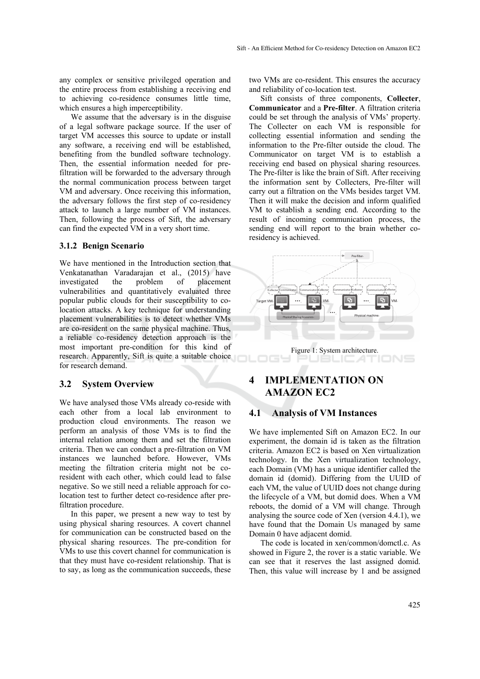any complex or sensitive privileged operation and the entire process from establishing a receiving end to achieving co-residence consumes little time, which ensures a high imperceptibility.

We assume that the adversary is in the disguise of a legal software package source. If the user of target VM accesses this source to update or install any software, a receiving end will be established, benefiting from the bundled software technology. Then, the essential information needed for prefiltration will be forwarded to the adversary through the normal communication process between target VM and adversary. Once receiving this information, the adversary follows the first step of co-residency attack to launch a large number of VM instances. Then, following the process of Sift, the adversary can find the expected VM in a very short time.

#### **3.1.2 Benign Scenario**

We have mentioned in the Introduction section that Venkatanathan Varadarajan et al., (2015) have investigated the problem of placement vulnerabilities and quantitatively evaluated three popular public clouds for their susceptibility to colocation attacks. A key technique for understanding placement vulnerabilities is to detect whether VMs are co-resident on the same physical machine. Thus, a reliable co-residency detection approach is the most important pre-condition for this kind of research. Apparently, Sift is quite a suitable choice for research demand.

#### **3.2 System Overview**

We have analysed those VMs already co-reside with each other from a local lab environment to production cloud environments. The reason we perform an analysis of those VMs is to find the internal relation among them and set the filtration criteria. Then we can conduct a pre-filtration on VM instances we launched before. However, VMs meeting the filtration criteria might not be coresident with each other, which could lead to false negative. So we still need a reliable approach for colocation test to further detect co-residence after prefiltration procedure.

In this paper, we present a new way to test by using physical sharing resources. A covert channel for communication can be constructed based on the physical sharing resources. The pre-condition for VMs to use this covert channel for communication is that they must have co-resident relationship. That is to say, as long as the communication succeeds, these two VMs are co-resident. This ensures the accuracy and reliability of co-location test.

Sift consists of three components, **Collecter**, **Communicator** and a **Pre-filter**. A filtration criteria could be set through the analysis of VMs' property. The Collecter on each VM is responsible for collecting essential information and sending the information to the Pre-filter outside the cloud. The Communicator on target VM is to establish a receiving end based on physical sharing resources. The Pre-filter is like the brain of Sift. After receiving the information sent by Collecters, Pre-filter will carry out a filtration on the VMs besides target VM. Then it will make the decision and inform qualified VM to establish a sending end. According to the result of incoming communication process, the sending end will report to the brain whether coresidency is achieved.



Figure 1: System architecture.

# **4 IMPLEMENTATION ON AMAZON EC2**

### **4.1 Analysis of VM Instances**

We have implemented Sift on Amazon EC2. In our experiment, the domain id is taken as the filtration criteria. Amazon EC2 is based on Xen virtualization technology. In the Xen virtualization technology, each Domain (VM) has a unique identifier called the domain id (domid). Differing from the UUID of each VM, the value of UUID does not change during the lifecycle of a VM, but domid does. When a VM reboots, the domid of a VM will change. Through analysing the source code of Xen (version 4.4.1), we have found that the Domain Us managed by same Domain 0 have adjacent domid.

The code is located in xen/common/domctl.c. As showed in Figure 2, the rover is a static variable. We can see that it reserves the last assigned domid. Then, this value will increase by 1 and be assigned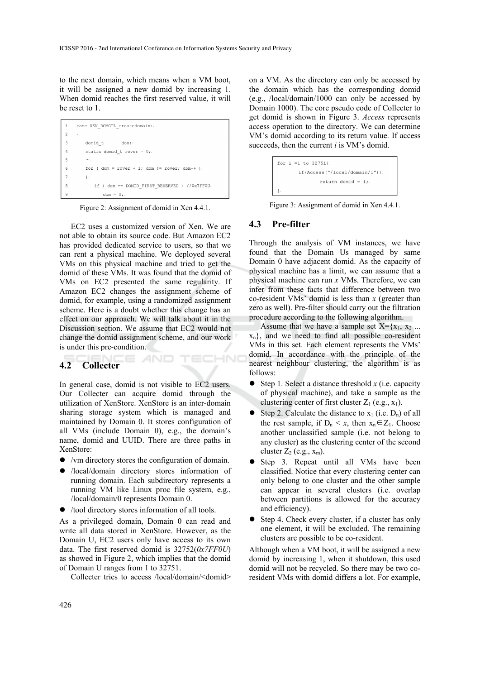to the next domain, which means when a VM boot, it will be assigned a new domid by increasing 1. When domid reaches the first reserved value, it will be reset to 1.

| $\mathfrak{D}$<br>€.<br>3<br>domid t<br>dom;.<br>4<br>static domid t rover = $0$ ;<br>5<br><br>6<br>for ( $dom = rover + 1$ ; $dom != rover$ ; $dom++$ ).<br>7<br>€.<br>8<br>if ( dom == DOMID FIRST RESERVED ) //0x7FF0U. | 1 | case XEN DOMCTL createdomain: |
|----------------------------------------------------------------------------------------------------------------------------------------------------------------------------------------------------------------------------|---|-------------------------------|
|                                                                                                                                                                                                                            |   |                               |
|                                                                                                                                                                                                                            |   |                               |
|                                                                                                                                                                                                                            |   |                               |
|                                                                                                                                                                                                                            |   |                               |
|                                                                                                                                                                                                                            |   |                               |
|                                                                                                                                                                                                                            |   |                               |
|                                                                                                                                                                                                                            |   |                               |
| 9<br>$dom = 0:$                                                                                                                                                                                                            |   |                               |

Figure 2: Assignment of domid in Xen 4.4.1.

EC2 uses a customized version of Xen. We are not able to obtain its source code. But Amazon EC2 has provided dedicated service to users, so that we can rent a physical machine. We deployed several VMs on this physical machine and tried to get the domid of these VMs. It was found that the domid of VMs on EC2 presented the same regularity. If Amazon EC2 changes the assignment scheme of domid, for example, using a randomized assignment scheme. Here is a doubt whether this change has an effect on our approach. We will talk about it in the Discussion section. We assume that EC2 would not change the domid assignment scheme, and our work is under this pre-condition.

## **4.2 Collecter**

In general case, domid is not visible to EC2 users. Our Collecter can acquire domid through the utilization of XenStore. XenStore is an inter-domain sharing storage system which is managed and maintained by Domain 0. It stores configuration of all VMs (include Domain 0), e.g., the domain's name, domid and UUID. There are three paths in XenStore:

'ECHN0

- /vm directory stores the configuration of domain.
- /local/domain directory stores information of running domain. Each subdirectory represents a running VM like Linux proc file system, e.g., /local/domain/0 represents Domain 0.
- /tool directory stores information of all tools.

As a privileged domain, Domain 0 can read and write all data stored in XenStore. However, as the Domain U, EC2 users only have access to its own data. The first reserved domid is 32752(*0x7FF0U*) as showed in Figure 2, which implies that the domid of Domain U ranges from 1 to 32751.

Collecter tries to access /local/domain/<domid>

on a VM. As the directory can only be accessed by the domain which has the corresponding domid (e.g., /local/domain/1000 can only be accessed by Domain 1000). The core pseudo code of Collecter to get domid is shown in Figure 3. *Access* represents access operation to the directory. We can determine VM's domid according to its return value. If access succeeds, then the current *i* is VM's domid.

| for i =1 to $32751$ {.              |
|-------------------------------------|
| if (Access $("/local/domain/i")$ ). |
| return domid = $i$ :                |
|                                     |

Figure 3: Assignment of domid in Xen 4.4.1.

### **4.3 Pre-filter**

Through the analysis of VM instances, we have found that the Domain Us managed by same Domain 0 have adjacent domid. As the capacity of physical machine has a limit, we can assume that a physical machine can run *x* VMs. Therefore, we can infer from these facts that difference between two co-resident VMs' domid is less than *x* (greater than zero as well). Pre-filter should carry out the filtration procedure according to the following algorithm.

Assume that we have a sample set  $X = \{x_1, x_2 \dots$  $x_n$ }, and we need to find all possible co-resident VMs in this set. Each element represents the VMs' domid. In accordance with the principle of the nearest neighbour clustering, the algorithm is as follows:

- $\bullet$  Step 1. Select a distance threshold *x* (i.e. capacity of physical machine), and take a sample as the clustering center of first cluster  $Z_1$  (e.g.,  $x_1$ ).
- Step 2. Calculate the distance to  $x_1$  (i.e.  $D_n$ ) of all the rest sample, if  $D_n \leq x$ , then  $x_n \in Z_1$ . Choose another unclassified sample (i.e. not belong to any cluster) as the clustering center of the second cluster  $Z_2$  (e.g.,  $x_m$ ).
- Step 3. Repeat until all VMs have been classified. Notice that every clustering center can only belong to one cluster and the other sample can appear in several clusters (i.e. overlap between partitions is allowed for the accuracy and efficiency).
- Step 4. Check every cluster, if a cluster has only one element, it will be excluded. The remaining clusters are possible to be co-resident.

Although when a VM boot, it will be assigned a new domid by increasing 1, when it shutdown, this used domid will not be recycled. So there may be two coresident VMs with domid differs a lot. For example,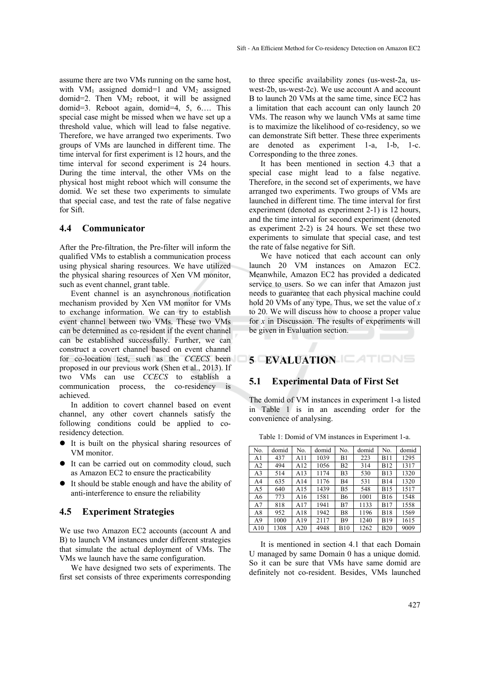assume there are two VMs running on the same host, with VM<sub>1</sub> assigned domid=1 and VM<sub>2</sub> assigned domid=2. Then  $VM<sub>2</sub>$  reboot, it will be assigned domid=3. Reboot again, domid=4, 5, 6…. This special case might be missed when we have set up a threshold value, which will lead to false negative. Therefore, we have arranged two experiments. Two groups of VMs are launched in different time. The time interval for first experiment is 12 hours, and the time interval for second experiment is 24 hours. During the time interval, the other VMs on the physical host might reboot which will consume the domid. We set these two experiments to simulate that special case, and test the rate of false negative for Sift.

#### **4.4 Communicator**

After the Pre-filtration, the Pre-filter will inform the qualified VMs to establish a communication process using physical sharing resources. We have utilized the physical sharing resources of Xen VM monitor, such as event channel, grant table.

Event channel is an asynchronous notification mechanism provided by Xen VM monitor for VMs to exchange information. We can try to establish event channel between two VMs. These two VMs can be determined as co-resident if the event channel can be established successfully. Further, we can construct a covert channel based on event channel for co-location test, such as the *CCECS* been proposed in our previous work (Shen et al., 2013). If two VMs can use *CCECS* to establish a communication process, the co-residency is achieved.

In addition to covert channel based on event channel, any other covert channels satisfy the following conditions could be applied to coresidency detection.

- It is built on the physical sharing resources of VM monitor.
- It can be carried out on commodity cloud, such as Amazon EC2 to ensure the practicability
- It should be stable enough and have the ability of anti-interference to ensure the reliability

### **4.5 Experiment Strategies**

We use two Amazon EC2 accounts (account A and B) to launch VM instances under different strategies that simulate the actual deployment of VMs. The VMs we launch have the same configuration.

We have designed two sets of experiments. The first set consists of three experiments corresponding

to three specific availability zones (us-west-2a, uswest-2b, us-west-2c). We use account A and account B to launch 20 VMs at the same time, since EC2 has a limitation that each account can only launch 20 VMs. The reason why we launch VMs at same time is to maximize the likelihood of co-residency, so we can demonstrate Sift better. These three experiments are denoted as experiment 1-a, 1-b, 1-c. Corresponding to the three zones.

It has been mentioned in section 4.3 that a special case might lead to a false negative. Therefore, in the second set of experiments, we have arranged two experiments. Two groups of VMs are launched in different time. The time interval for first experiment (denoted as experiment 2-1) is 12 hours, and the time interval for second experiment (denoted as experiment 2-2) is 24 hours. We set these two experiments to simulate that special case, and test the rate of false negative for Sift.

We have noticed that each account can only launch 20 VM instances on Amazon EC2. Meanwhile, Amazon EC2 has provided a dedicated service to users. So we can infer that Amazon just needs to guarantee that each physical machine could hold 20 VMs of any type. Thus, we set the value of *x* to 20. We will discuss how to choose a proper value for *x* in Discussion. The results of experiments will be given in Evaluation section.

# **5 EVALUATION**

### **5.1 Experimental Data of First Set**

The domid of VM instances in experiment 1-a listed in Table 1 is in an ascending order for the convenience of analysing.

| No. | domid | No. | domid | No.         | domid | No.         | domid |
|-----|-------|-----|-------|-------------|-------|-------------|-------|
| A1  | 437   | A11 | 1039  | B1          | 223   | <b>B11</b>  | 1295  |
| A2  | 494   | A12 | 1056  | <b>B2</b>   | 314   | <b>B12</b>  | 1317  |
| A3  | 514   | A13 | 1174  | B3          | 530   | <b>B13</b>  | 1320  |
| A4  | 635   | A14 | 1176  | B4          | 531   | <b>B14</b>  | 1320  |
| A5  | 640   | A15 | 1439  | B5          | 548   | <b>B</b> 15 | 1517  |
| A6  | 773   | A16 | 1581  | <b>B6</b>   | 1001  | <b>B16</b>  | 1548  |
| A7  | 818   | A17 | 1941  | B7          | 1133  | <b>B17</b>  | 1558  |
| A8  | 952   | A18 | 1942  | B8          | 1196  | <b>B18</b>  | 1569  |
| A9  | 1000  | A19 | 2117  | B9          | 1240  | <b>B</b> 19 | 1615  |
| A10 | 1308  | A20 | 4948  | <b>B</b> 10 | 1262  | <b>B20</b>  | 9009  |

Table 1: Domid of VM instances in Experiment 1-a.

It is mentioned in section 4.1 that each Domain U managed by same Domain 0 has a unique domid. So it can be sure that VMs have same domid are definitely not co-resident. Besides, VMs launched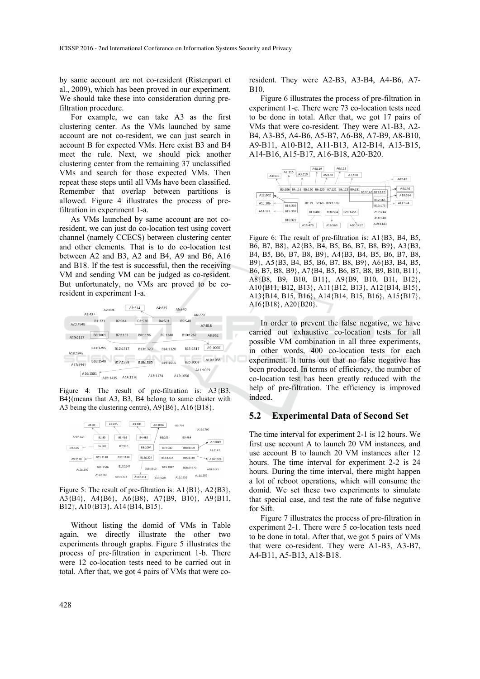by same account are not co-resident (Ristenpart et al., 2009), which has been proved in our experiment. We should take these into consideration during prefiltration procedure.

For example, we can take A3 as the first clustering center. As the VMs launched by same account are not co-resident, we can just search in account B for expected VMs. Here exist B3 and B4 meet the rule. Next, we should pick another clustering center from the remaining 37 unclassified VMs and search for those expected VMs. Then repeat these steps until all VMs have been classified. Remember that overlap between partitions is allowed. Figure 4 illustrates the process of prefiltration in experiment 1-a.

As VMs launched by same account are not coresident, we can just do co-location test using covert channel (namely CCECS) between clustering center and other elements. That is to do co-location test between A2 and B3, A2 and B4, A9 and B6, A16 and B18. If the test is successful, then the receiving VM and sending VM can be judged as co-resident. But unfortunately, no VMs are proved to be coresident in experiment 1-a.



Figure 4: The result of pre-filtration is: A3{B3} B4}(means that A3, B3, B4 belong to same cluster with A3 being the clustering centre), A9{B6}, A16{B18}.



Figure 5: The result of pre-filtration is: A1{B1}, A2{B3}, A3{B4}, A4{B6}, A6{B8}, A7{B9, B10}, A9{B11, B12}, A10{B13}, A14{B14, B15}.

Without listing the domid of VMs in Table again, we directly illustrate the other two experiments through graphs. Figure 5 illustrates the process of pre-filtration in experiment 1-b. There were 12 co-location tests need to be carried out in total. After that, we got 4 pairs of VMs that were co-

resident. They were A2-B3, A3-B4, A4-B6, A7- B10.

Figure 6 illustrates the process of pre-filtration in experiment 1-c. There were 73 co-location tests need to be done in total. After that, we got 17 pairs of VMs that were co-resident. They were A1-B3, A2- B4, A3-B5, A4-B6, A5-B7, A6-B8, A7-B9, A8-B10, A9-B11, A10-B12, A11-B13, A12-B14, A13-B15, A14-B16, A15-B17, A16-B18, A20-B20.



Figure 6: The result of pre-filtration is: A1{B3, B4, B5, B6, B7, B8}, A2{B3, B4, B5, B6, B7, B8, B9}, A3{B3, B4, B5, B6, B7, B8, B9}, A4{B3, B4, B5, B6, B7, B8, B9}, A5{B3, B4, B5, B6, B7, B8, B9}, A6{B3, B4, B5, B6, B7, B8, B9}, A7{B4, B5, B6, B7, B8, B9, B10, B11}, A8{B8, B9, B10, B11}, A9{B9, B10, B11, B12}, A10{B11, B12, B13}, A11{B12, B13}, A12{B14, B15}, A13{B14, B15, B16}, A14{B14, B15, B16}, A15{B17}, A16{B18}, A20{B20}.

In order to prevent the false negative, we have carried out exhaustive co-location tests for all possible VM combination in all three experiments, in other words, 400 co-location tests for each experiment. It turns out that no false negative has been produced. In terms of efficiency, the number of co-location test has been greatly reduced with the help of pre-filtration. The efficiency is improved indeed.

#### **5.2 Experimental Data of Second Set**

The time interval for experiment 2-1 is 12 hours. We first use account A to launch 20 VM instances, and use account B to launch 20 VM instances after 12 hours. The time interval for experiment 2-2 is 24 hours. During the time interval, there might happen a lot of reboot operations, which will consume the domid. We set these two experiments to simulate that special case, and test the rate of false negative for Sift.

Figure 7 illustrates the process of pre-filtration in experiment 2-1. There were 5 co-location tests need to be done in total. After that, we got 5 pairs of VMs that were co-resident. They were A1-B3, A3-B7, A4-B11, A5-B13, A18-B18.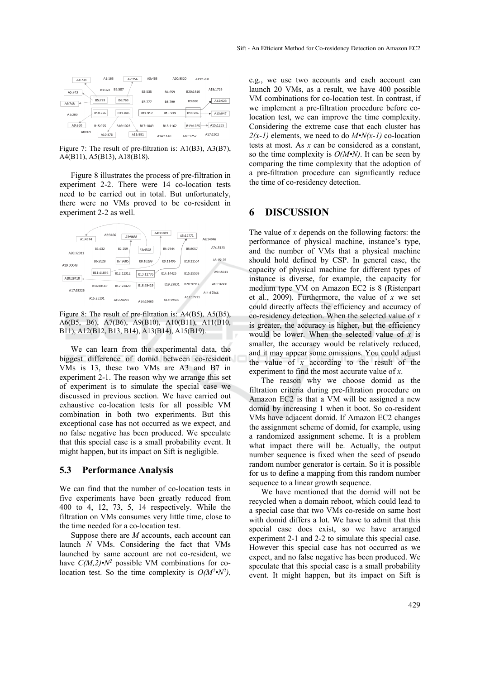| A4:738            | A1:163<br>A7:756   | A3:465   | A20:8320      | A19:1768 |               |
|-------------------|--------------------|----------|---------------|----------|---------------|
| A5:743            | B2:507<br>B1:322   | B3:535   | B4:659        | B20:1410 | A18:1726      |
| B5:729<br>A6:748  | B6:763             | B7:777   | <b>B8:799</b> | B9:820   | A12:923       |
| B10:876<br>A2:280 | B11:886            | B12:912  | B13:919       | B14:936  | A13:947       |
| A9:860<br>B15:975 | B16:1023           | B17:1049 | B18:1162      | B19:1225 | A15:1235<br>ы |
| A8:809            | A11:881<br>A10:876 |          | A14:1140      | A16:1252 | A17:1502      |

Figure 7: The result of pre-filtration is: A1(B3), A3(B7), A4(B11), A5(B13), A18(B18).

Figure 8 illustrates the process of pre-filtration in experiment 2-2. There were 14 co-location tests need to be carried out in total. But unfortunately, there were no VMs proved to be co-resident in experiment 2-2 as well.

|           | A2:9466   | A3:9668   |           | A4:11889  | A5:12771  |           |
|-----------|-----------|-----------|-----------|-----------|-----------|-----------|
| A1:4574   |           |           |           |           |           | A6:14946  |
| A20:32011 | B1:132    | B2:259    | B3:4578   | B4:7944   | B5:8057   | A7:15123  |
| A19:30048 | B6:9128   | B7:9685   | B8:10299  | B9:11496  | B10:11554 | A8:15125  |
| A18:28418 | B11:11896 | B12:12312 | B13:12776 | B14:14425 | B15:15539 | A9:15611  |
|           | B16:18169 | B17:22420 | B18:28419 | B19:29831 | B20:30912 | A10:16860 |
| A17:28226 | A16:25201 | A15:24291 | A14:19665 | A13:19565 | A12:17721 | A11:17044 |

Figure 8: The result of pre-filtration is: A4(B5), A5(B5), A6(B5, B6), A7(B6), A9(B10), A10(B11), A11(B10, B11), A12(B12, B13, B14), A13(B14), A15(B19).

We can learn from the experimental data, the biggest difference of domid between co-resident VMs is 13, these two VMs are A3 and B7 in experiment 2-1. The reason why we arrange this set of experiment is to simulate the special case we discussed in previous section. We have carried out exhaustive co-location tests for all possible VM combination in both two experiments. But this exceptional case has not occurred as we expect, and no false negative has been produced. We speculate that this special case is a small probability event. It might happen, but its impact on Sift is negligible.

#### **5.3 Performance Analysis**

We can find that the number of co-location tests in five experiments have been greatly reduced from 400 to 4, 12, 73, 5, 14 respectively. While the filtration on VMs consumes very little time, close to the time needed for a co-location test.

Suppose there are *M* accounts, each account can launch *N* VMs. Considering the fact that VMs launched by same account are not co-resident, we have  $C(M,2) \cdot N^2$  possible VM combinations for colocation test. So the time complexity is  $O(M^2 \cdot N^2)$ , e.g., we use two accounts and each account can launch 20 VMs, as a result, we have 400 possible VM combinations for co-location test. In contrast, if we implement a pre-filtration procedure before colocation test, we can improve the time complexity. Considering the extreme case that each cluster has  $2(x-1)$  elements, we need to do  $M \cdot N(x-1)$  co-location tests at most. As *x* can be considered as a constant, so the time complexity is *O(M•N)*. It can be seen by comparing the time complexity that the adoption of a pre-filtration procedure can significantly reduce the time of co-residency detection.

## **6 DISCUSSION**

The value of *x* depends on the following factors: the performance of physical machine, instance's type, and the number of VMs that a physical machine should hold defined by CSP. In general case, the capacity of physical machine for different types of instance is diverse, for example, the capacity for medium type VM on Amazon EC2 is 8 (Ristenpart et al., 2009). Furthermore, the value of *x* we set could directly affects the efficiency and accuracy of co-residency detection. When the selected value of *x* is greater, the accuracy is higher, but the efficiency would be lower. When the selected value of *x* is smaller, the accuracy would be relatively reduced, and it may appear some omissions. You could adjust the value of *x* according to the result of the experiment to find the most accurate value of *x*.

The reason why we choose domid as the filtration criteria during pre-filtration procedure on Amazon EC2 is that a VM will be assigned a new domid by increasing 1 when it boot. So co-resident VMs have adjacent domid. If Amazon EC2 changes the assignment scheme of domid, for example, using a randomized assignment scheme. It is a problem what impact there will be. Actually, the output number sequence is fixed when the seed of pseudo random number generator is certain. So it is possible for us to define a mapping from this random number sequence to a linear growth sequence.

We have mentioned that the domid will not be recycled when a domain reboot, which could lead to a special case that two VMs co-reside on same host with domid differs a lot. We have to admit that this special case does exist, so we have arranged experiment 2-1 and 2-2 to simulate this special case. However this special case has not occurred as we expect, and no false negative has been produced. We speculate that this special case is a small probability event. It might happen, but its impact on Sift is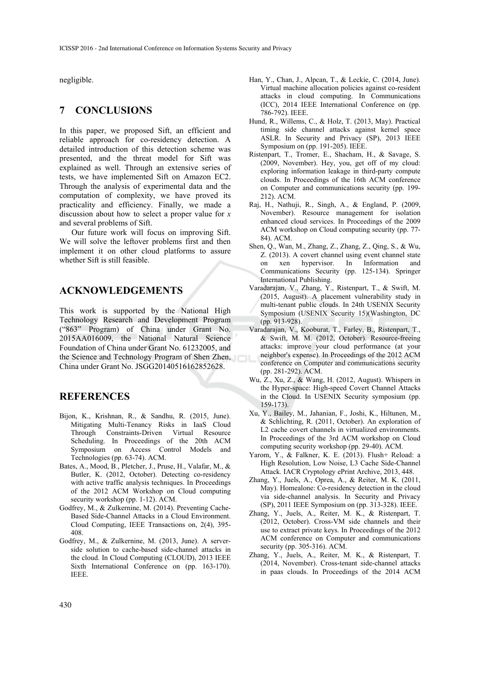negligible.

## **7 CONCLUSIONS**

In this paper, we proposed Sift, an efficient and reliable approach for co-residency detection. A detailed introduction of this detection scheme was presented, and the threat model for Sift was explained as well. Through an extensive series of tests, we have implemented Sift on Amazon EC2. Through the analysis of experimental data and the computation of complexity, we have proved its practicality and efficiency. Finally, we made a discussion about how to select a proper value for *x* and several problems of Sift.

Our future work will focus on improving Sift. We will solve the leftover problems first and then implement it on other cloud platforms to assure whether Sift is still feasible.

## **ACKNOWLEDGEMENTS**

This work is supported by the National High Technology Research and Development Program ("863" Program) of China under Grant No. 2015AA016009, the National Natural Science Foundation of China under Grant No. 61232005, and the Science and Technology Program of Shen Zhen, China under Grant No. JSGG20140516162852628.

## **REFERENCES**

- Bijon, K., Krishnan, R., & Sandhu, R. (2015, June). Mitigating Multi-Tenancy Risks in IaaS Cloud Through Constraints-Driven Virtual Resource Scheduling. In Proceedings of the 20th ACM Symposium on Access Control Models and Technologies (pp. 63-74). ACM.
- Bates, A., Mood, B., Pletcher, J., Pruse, H., Valafar, M., & Butler, K. (2012, October). Detecting co-residency with active traffic analysis techniques. In Proceedings of the 2012 ACM Workshop on Cloud computing security workshop (pp. 1-12). ACM.
- Godfrey, M., & Zulkernine, M. (2014). Preventing Cache-Based Side-Channel Attacks in a Cloud Environment. Cloud Computing, IEEE Transactions on, 2(4), 395- 408.
- Godfrey, M., & Zulkernine, M. (2013, June). A serverside solution to cache-based side-channel attacks in the cloud. In Cloud Computing (CLOUD), 2013 IEEE Sixth International Conference on (pp. 163-170). IEEE.
- Han, Y., Chan, J., Alpcan, T., & Leckie, C. (2014, June). Virtual machine allocation policies against co-resident attacks in cloud computing. In Communications (ICC), 2014 IEEE International Conference on (pp. 786-792). IEEE.
- Hund, R., Willems, C., & Holz, T. (2013, May). Practical timing side channel attacks against kernel space ASLR. In Security and Privacy (SP), 2013 IEEE Symposium on (pp. 191-205). IEEE.
- Ristenpart, T., Tromer, E., Shacham, H., & Savage, S. (2009, November). Hey, you, get off of my cloud: exploring information leakage in third-party compute clouds. In Proceedings of the 16th ACM conference on Computer and communications security (pp. 199- 212). ACM.
- Raj, H., Nathuji, R., Singh, A., & England, P. (2009, November). Resource management for isolation enhanced cloud services. In Proceedings of the 2009 ACM workshop on Cloud computing security (pp. 77- 84). ACM.
- Shen, Q., Wan, M., Zhang, Z., Zhang, Z., Qing, S., & Wu, Z. (2013). A covert channel using event channel state<br>on xen hypervisor. In Information and on xen hypervisor. In Information and Communications Security (pp. 125-134). Springer International Publishing.
- Varadarajan, V., Zhang, Y., Ristenpart, T., & Swift, M. (2015, August). A placement vulnerability study in multi-tenant public clouds. In 24th USENIX Security Symposium (USENIX Security 15)(Washington, DC (pp. 913-928).
- Varadarajan, V., Kooburat, T., Farley, B., Ristenpart, T., & Swift, M. M. (2012, October). Resource-freeing attacks: improve your cloud performance (at your neighbor's expense). In Proceedings of the 2012 ACM conference on Computer and communications security (pp. 281-292). ACM.
- Wu, Z., Xu, Z., & Wang, H. (2012, August). Whispers in the Hyper-space: High-speed Covert Channel Attacks in the Cloud. In USENIX Security symposium (pp. 159-173).
- Xu, Y., Bailey, M., Jahanian, F., Joshi, K., Hiltunen, M., & Schlichting, R. (2011, October). An exploration of L2 cache covert channels in virtualized environments. In Proceedings of the 3rd ACM workshop on Cloud computing security workshop (pp. 29-40). ACM.
- Yarom, Y., & Falkner, K. E. (2013). Flush+ Reload: a High Resolution, Low Noise, L3 Cache Side-Channel Attack. IACR Cryptology ePrint Archive, 2013, 448.
- Zhang, Y., Juels, A., Oprea, A., & Reiter, M. K. (2011, May). Homealone: Co-residency detection in the cloud via side-channel analysis. In Security and Privacy (SP), 2011 IEEE Symposium on (pp. 313-328). IEEE.
- Zhang, Y., Juels, A., Reiter, M. K., & Ristenpart, T. (2012, October). Cross-VM side channels and their use to extract private keys. In Proceedings of the 2012 ACM conference on Computer and communications security (pp. 305-316). ACM.
- Zhang, Y., Juels, A., Reiter, M. K., & Ristenpart, T. (2014, November). Cross-tenant side-channel attacks in paas clouds. In Proceedings of the 2014 ACM